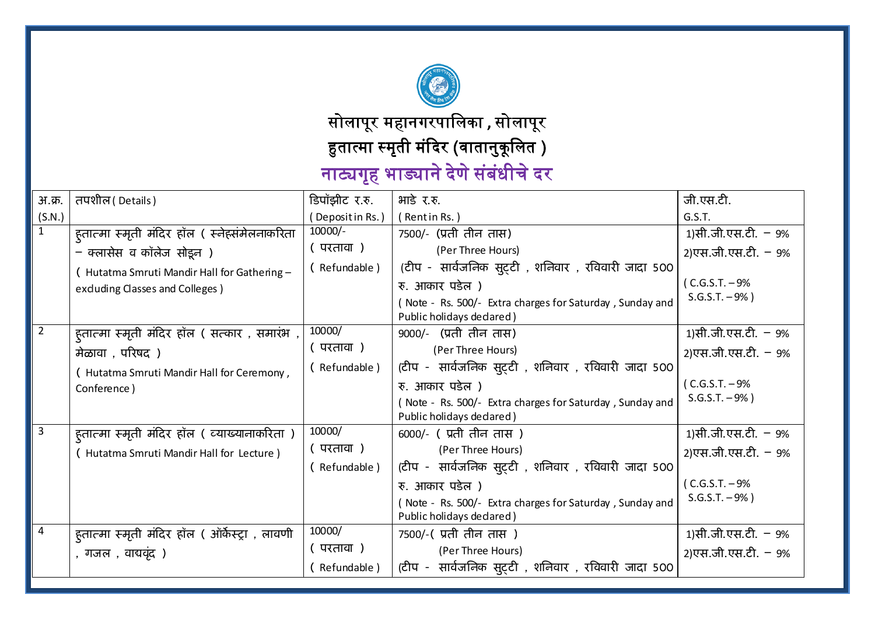

सोलापूर महानगरपािलका  **,** सोलापूर सोलापूर

हुतात्मा स्मृती मंदिर (वातानुकूलित )

नाट्यगृह भाड्याने देणे संबंधीचे दर

| अ.क्र.         | तपशील ( Details )                               | डिपॉझीट र.रु.   | भाडे र.रु.                                                                           | जी.एस.टी.             |
|----------------|-------------------------------------------------|-----------------|--------------------------------------------------------------------------------------|-----------------------|
| (S.N.)         |                                                 | (Depositin Rs.) | (Rentin Rs.)                                                                         | G.S.T.                |
| 1              | ह्तात्मा स्मृती मंदिर हॉल ( स्नेह्संमेलनाकरिता  | $10000/-$       | 7500/- (प्रती तीन तास)                                                               | 1)सी.जी.एस.टी. – 9%   |
|                | - क्लासेस व कॉलेज सोइन )                        | ( परतावा )      | (Per Three Hours)                                                                    | 2)एस.जी.एस.टी. - 9%   |
|                | (Hutatma Smruti Mandir Hall for Gathering -     | (Refundable)    | (टीप -  सार्वजनिक सुट्टी , शनिवार , रविवारी जादा 500                                 |                       |
|                | exduding Classes and Colleges)                  |                 | रु. आकार पडेल)                                                                       | $(C.G.S.T. - 9%$      |
|                |                                                 |                 | (Note - Rs. 500/- Extra charges for Saturday, Sunday and<br>Public holidays dedared) | $S.G.S.T. -9%$        |
| 2              | ह्तात्मा स्मृती मंदिर हॉल ( सत्कार , समारंभ ,   | 10000/          | 9000/- (प्रती तीन तास)                                                               | 1)सी.जी.एस.टी. – 9%   |
|                | मेळावा , परिषद)                                 | ( परतावा )      | (Per Three Hours)                                                                    | 2)एस.जी.एस.टी. – 9%   |
|                | (Hutatma Smruti Mandir Hall for Ceremony,       | (Refundable)    | (टीप - सार्वजनिक सुट्टी , शनिवार , रविवारी जादा 500                                  |                       |
|                | Conference)                                     |                 | रु. आकार पडेल )                                                                      | $(C.G.S.T. - 9%$      |
|                |                                                 |                 | (Note - Rs. 500/- Extra charges for Saturday, Sunday and                             | $S.G.S.T. - 9%$       |
|                |                                                 |                 | Public holidays dedared)                                                             |                       |
| $\overline{3}$ | ह्तात्मा स्मृती मंदिर हॉल ( व्याख्यानाकरिता )   | 10000/          | 6000/- (प्रती तीन तास)                                                               | 1)सी.जी.एस.टी. – 9%   |
|                | (Hutatma Smruti Mandir Hall for Lecture)        | (परतावा)        | (Per Three Hours)                                                                    | 2) एस.जी. एस.टी. - 9% |
|                |                                                 | (Refundable)    | (टीप -  सार्वजनिक सुट्टी , शनिवार , रविवारी जादा 500                                 |                       |
|                |                                                 |                 | रु. आकार पडेल )                                                                      | (C.G.S.T. – 9%        |
|                |                                                 |                 | Note - Rs. 500/- Extra charges for Saturday, Sunday and                              | $S.G.S.T. - 9%$       |
|                |                                                 |                 | Public holidays declared)                                                            |                       |
| $\overline{4}$ | हुतात्मा स्मृती मंदिर हॉल ( ऑर्केस्ट्रा , लावणी | 10000/          | 7500/-(प्रती तीन तास)                                                                | 1)सी.जी.एस.टी. – 9%   |
|                | , गजल , वाद्यवृंद )                             | ( परतावा )      | (Per Three Hours)                                                                    | 2)एस.जी.एस.टी. – 9%   |
|                |                                                 | (Refundable)    | (टीप - सार्वजनिक सुट्टी , शनिवार , रविवारी जादा 500                                  |                       |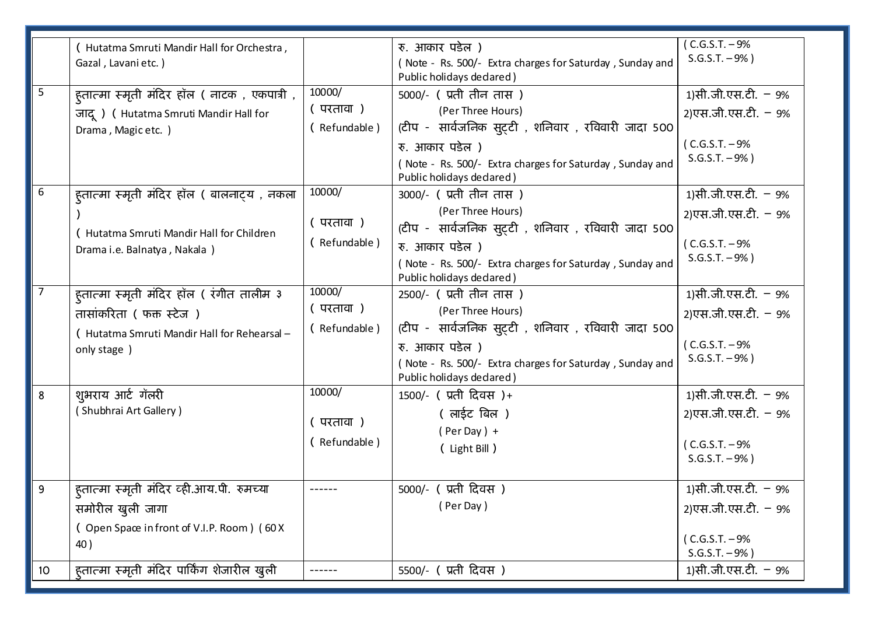|                                      | (Hutatma Smruti Mandir Hall for Orchestra,<br>Gazal, Lavani etc.)                                                                                                |                                        | रु. आकार पडेल )<br>(Note - Rs. 500/- Extra charges for Saturday, Sunday and<br>Public holidays dedared)                                                                                                        | $C.G.S.T. - 9%$<br>$S.G.S.T. - 9%$                                                                     |
|--------------------------------------|------------------------------------------------------------------------------------------------------------------------------------------------------------------|----------------------------------------|----------------------------------------------------------------------------------------------------------------------------------------------------------------------------------------------------------------|--------------------------------------------------------------------------------------------------------|
| $\overline{\overline{\overline{5}}}$ | ह्तात्मा स्मृती मंदिर हॉल ( नाटक), एकपात्री ,<br>जादू) (Hutatma Smruti Mandir Hall for<br>Drama, Magic etc.)                                                     | 10000/<br>(परतावा)<br>(Refundable)     | 5000/- (प्रती तीन तास)<br>(Per Three Hours)<br>(टीप - सार्वजनिक सुट्टी , शनिवार , रविवारी जादा 500<br>रु. आकार पडेल )<br>(Note - Rs. 500/- Extra charges for Saturday, Sunday and<br>Public holidays declared) | 1)सी.जी.एस.टी. - 9%<br>2)एस.जी.एस.टी. – 9%<br>(C.G.S.T. – 9%<br>$S.G.S.T. - 9%$                        |
| 6                                    | ह्तात्मा स्मृती मंदिर हॉल ( बालनाट्य , नकला<br>(Hutatma Smruti Mandir Hall for Children<br>Drama i.e. Balnatya, Nakala)                                          | 10000/<br>(परतावा)<br>(Refundable)     | 3000/- (प्रती तीन तास)<br>(Per Three Hours)<br>(टीप - सार्वजनिक सुट्टी , शनिवार , रविवारी जादा 500<br>रु. आकार पडेल )<br>(Note - Rs. 500/- Extra charges for Saturday, Sunday and<br>Public holidays declared) | 1)सी.जी.एस.टी. - 9%<br>2) एस.जी. एस.टी. - 9%<br>(C.G.S.T. – 9%<br>$S.G.S.T. - 9%$                      |
| $\overline{7}$                       | ह्तात्मा स्मृती मंदिर हॉल ( रंगीत तालीम ३<br>तासांकरिता ( फक्त स्टेज)<br>(Hutatma Smruti Mandir Hall for Rehearsal -<br>only stage)                              | 10000/<br>(परतावा)<br>(Refundable)     | 2500/- (प्रती तीन तास)<br>(Per Three Hours)<br>(टीप - सार्वजनिक सुट्टी , शनिवार , रविवारी जादा 500<br>रु. आकार पडेल )<br>(Note - Rs. 500/- Extra charges for Saturday, Sunday and<br>Public holidays declared) | 1)सी.जी.एस.टी. - 9%<br>2) एस.जी. एस.टी. - 9%<br>(C.G.S.T. – 9%<br>$S.G.S.T. - 9%$                      |
| 8                                    | शुभराय आर्ट गॅलरी<br>(Shubhrai Art Gallery)                                                                                                                      | 10000/<br>( परतावा )<br>( Refundable ) | 1500/- (प्रती दिवस)+<br>(लाईट बिल)<br>$(Per Day) +$<br>( Light Bill )                                                                                                                                          | 1)सी.जी.एस.टी. – 9%<br>2)एस.जी.एस.टी. – 9%<br>(C.G.S.T. – 9%<br>$S.G.S.T. -9%$ )                       |
| 9<br>10                              | हतात्मा स्मृती मंदिर व्ही.आय.पी. रुमच्या<br>समोरील खुली जागा<br>(Open Space in front of V.I.P. Room) (60X)<br>40)<br>हुतात्मा स्मृती मंदिर पार्किंग शेजारील खुली | ------                                 | 5000/- (प्रती दिवस)<br>(Per Day)<br>5500/- (प्रती दिवस)                                                                                                                                                        | 1)सी.जी.एस.टी. – 9%<br>2)एस.जी.एस.टी. – 9%<br>(C.G.S.T. – 9%<br>$S.G.S.T. - 9%$<br>1)सी.जी.एस.टी. – 9% |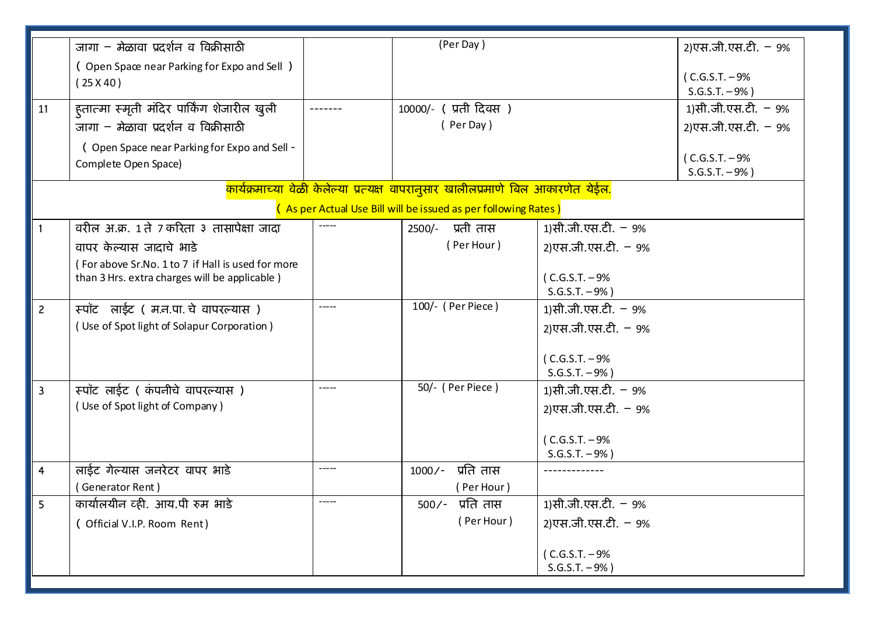|                | जागा – मेळावा प्रदर्शन व विक्रीसाठी                                                                |             | (Per Day)                                                                                     |                         | 2) एस.जी. एस.टी. - 9%               |
|----------------|----------------------------------------------------------------------------------------------------|-------------|-----------------------------------------------------------------------------------------------|-------------------------|-------------------------------------|
|                | (Open Space near Parking for Expo and Sell)                                                        |             |                                                                                               |                         |                                     |
|                | (25 X 40)                                                                                          |             |                                                                                               |                         | (C.G.S.T. – 9%                      |
|                |                                                                                                    |             |                                                                                               |                         | $S.G.S.T. -9%$ )                    |
| 11             | ह्तात्मा स्मृती मंदिर पार्किंग शेजारील खुली                                                        |             | 10000/- (प्रती दिवस)                                                                          |                         | 1)सी.जी.एस.टी. – 9%                 |
|                | जागा – मेळावा प्रदर्शन व विक्रीसाठी                                                                |             | (Per Day)                                                                                     |                         | 2) एस.जी. एस.टी. - 9%               |
|                | (Open Space near Parking for Expo and Sell -                                                       |             |                                                                                               |                         |                                     |
|                | Complete Open Space)                                                                               |             |                                                                                               |                         | (C.G.S.T. – 9%<br>$S.G.S.T. - 9%$ ) |
|                |                                                                                                    |             | <mark>कार्यक्रमाच्या वेळी केलेल्या प्रत्यक्ष वापरानुसार खालीलप्रमाणे बिल आकारणेत येईल.</mark> |                         |                                     |
|                |                                                                                                    |             | (As per Actual Use Bill will be issued as per following Rates)                                |                         |                                     |
|                | वरील अ.क्र. 1 ते 7 करिता ३ तासापेक्षा जादा                                                         |             | 2500/- प्रती तास                                                                              | 1)सी.जी.एस.टी. - 9%     |                                     |
|                |                                                                                                    |             | (Per Hour)                                                                                    |                         |                                     |
|                | वापर केल्यास जादाचे भाडे                                                                           |             |                                                                                               | 2) एस.जी. एस.टी. - 9%   |                                     |
|                | (For above Sr.No. 1 to 7 if Hall is used for more<br>than 3 Hrs. extra charges will be applicable) |             |                                                                                               | (C.G.S.T. – 9%          |                                     |
|                |                                                                                                    |             |                                                                                               | $S.G.S.T. - 9%$ )       |                                     |
| $\overline{c}$ | स्पॉट लाईट ( म.न.पा. चे वापरल्यास)                                                                 |             | 100/- (Per Piece)                                                                             | 1)सी.जी.एस.टी. - 9%     |                                     |
|                | (Use of Spot light of Solapur Corporation)                                                         |             |                                                                                               | 2) एस.जी. एस.टी. - 9%   |                                     |
|                |                                                                                                    |             |                                                                                               |                         |                                     |
|                |                                                                                                    |             |                                                                                               | (C.G.S.T. – 9%          |                                     |
|                |                                                                                                    |             |                                                                                               | $S.G.S.T. - 9%$         |                                     |
| $\overline{3}$ | स्पॉट लाईट ( कंपनीचे वापरल्यास)                                                                    | $- - - - -$ | 50/- ( Per Piece )                                                                            | 1)सी.जी.एस.टी. - 9%     |                                     |
|                | (Use of Spot light of Company)                                                                     |             |                                                                                               | 2) एस.जी. एस.टी. - 9%   |                                     |
|                |                                                                                                    |             |                                                                                               |                         |                                     |
|                |                                                                                                    |             |                                                                                               | (C.G.S.T. – 9%          |                                     |
|                |                                                                                                    |             |                                                                                               | $S.G.S.T. - 9%$ )       |                                     |
| 4              | लाईट गेल्यास जनरेटर वापर भाडे                                                                      |             | प्रति तास<br>$1000/-$                                                                         |                         |                                     |
|                | (Generator Rent)                                                                                   |             | (Per Hour)                                                                                    |                         |                                     |
| 5              | कार्यालयीन व्ही. आय.पी रुम भाडे                                                                    | -----       | $500/-$ प्रति तास                                                                             | 1)सी.जी.एस.टी. - 9%     |                                     |
|                | ( Official V.I.P. Room Rent)                                                                       |             | (Per Hour)                                                                                    | 2) एस.जी. एस.टी. $-9\%$ |                                     |
|                |                                                                                                    |             |                                                                                               | $(C.G.S.T. - 9%$        |                                     |
|                |                                                                                                    |             |                                                                                               | $S.G.S.T. - 9%$         |                                     |
|                |                                                                                                    |             |                                                                                               |                         |                                     |